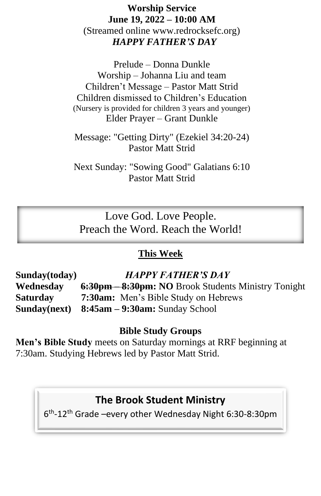## **Worship Service June 19, 2022 – 10:00 AM** (Streamed online www.redrocksefc.org) *HAPPY FATHER'S DAY*

Prelude – Donna Dunkle Worship – Johanna Liu and team Children't Message – Pastor Matt Strid Children dismissed to Children's Education (Nursery is provided for children 3 years and younger) Elder Prayer – Grant Dunkle

Message: "Getting Dirty" (Ezekiel 34:20-24) Pastor Matt Strid

Next Sunday: "Sowing Good" Galatians 6:10 Pastor Matt Strid

Love God. Love People. Preach the Word. Reach the World!

## **This Week**

**Sunday(today)** *HAPPY FATHER'S DAY* **Wednesday 6:30pm – 8:30pm: NO** Brook Students Ministry Tonight **Saturday 7:30am:** Men's Bible Study on Hebrews **Sunday(next) 8:45am – 9:30am:** Sunday School

### **Bible Study Groups**

**Men's Bible Study** meets on Saturday mornings at RRF beginning at 7:30am. Studying Hebrews led by Pastor Matt Strid.

# **The Brook Student Ministry**

6 th -12th Grade –every other Wednesday Night 6:30-8:30pm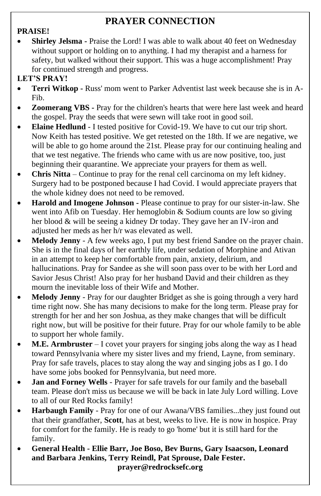# **PRAYER CONNECTION**

#### **PRAISE!**

**Shirley Jelsma -** Praise the Lord! I was able to walk about 40 feet on Wednesday without support or holding on to anything. I had my therapist and a harness for safety, but walked without their support. This was a huge accomplishment! Pray for continued strength and progress.

#### **LET'S PRAY!**

- **Terri Witkop -** Russ' mom went to Parker Adventist last week because she is in A-Fib.
- **Zoomerang VBS** Pray for the children's hearts that were here last week and heard the gospel. Pray the seeds that were sewn will take root in good soil.
- **Elaine Hedlund** I tested positive for Covid-19. We have to cut our trip short. Now Keith has tested positive. We get retested on the 18th. If we are negative, we will be able to go home around the 21st. Please pray for our continuing healing and that we test negative. The friends who came with us are now positive, too, just beginning their quarantine. We appreciate your prayers for them as well.
- **Chris Nitta**  Continue to pray for the renal cell carcinoma on my left kidney. Surgery had to be postponed because I had Covid. I would appreciate prayers that the whole kidney does not need to be removed.
- **Harold and Imogene Johnson -** Please continue to pray for our sister-in-law. She went into Afib on Tuesday. Her hemoglobin & Sodium counts are low so giving her blood & will be seeing a kidney Dr today. They gave her an IV-iron and adjusted her meds as her h/r was elevated as well.
- **Melody Jenny**  A few weeks ago, I put my best friend Sandee on the prayer chain. She is in the final days of her earthly life, under sedation of Morphine and Ativan in an attempt to keep her comfortable from pain, anxiety, delirium, and hallucinations. Pray for Sandee as she will soon pass over to be with her Lord and Savior Jesus Christ! Also pray for her husband David and their children as they mourn the inevitable loss of their Wife and Mother.
- **Melody Jenny** Pray for our daughter Bridget as she is going through a very hard time right now. She has many decisions to make for the long term. Please pray for strength for her and her son Joshua, as they make changes that will be difficult right now, but will be positive for their future. Pray for our whole family to be able to support her whole family.
- **M.E. Armbruster** I covet your prayers for singing jobs along the way as I head toward Pennsylvania where my sister lives and my friend, Layne, from seminary. Pray for safe travels, places to stay along the way and singing jobs as I go. I do have some jobs booked for Pennsylvania, but need more.
- **Jan and Forney Wells**  Prayer for safe travels for our family and the baseball team. Please don't miss us because we will be back in late July Lord willing. Love to all of our Red Rocks family!
- **Harbaugh Family** Pray for one of our Awana/VBS families...they just found out that their grandfather, **Scott**, has at best, weeks to live. He is now in hospice. Pray for comfort for the family. He is ready to go 'home' but it is still hard for the family.
- **General Health - Ellie Barr, Joe Boso, Bev Burns, Gary Isaacson, Leonard and Barbara Jenkins, Terry Reindl, Pat Sprouse, Dale Fester. prayer@redrocksefc.org**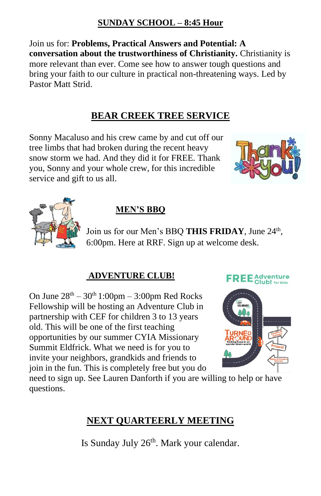### **SUNDAY SCHOOL – 8:45 Hour**

Join us for: **Problems, Practical Answers and Potential: A conversation about the trustworthiness of Christianity.** Christianity is more relevant than ever. Come see how to answer tough questions and bring your faith to our culture in practical non-threatening ways. Led by Pastor Matt Strid.

### **BEAR CREEK TREE SERVICE**

Sonny Macaluso and his crew came by and cut off our tree limbs that had broken during the recent heavy snow storm we had. And they did it for FREE. Thank you, Sonny and your whole crew, for this incredible service and gift to us all.





## **MEN'S BBQ**

Join us for our Men's BBQ THIS FRIDAY, June 24<sup>th</sup>, 6:00pm. Here at RRF. Sign up at welcome desk.

#### **ADVENTURE CLUB!**

On June  $28<sup>th</sup> - 30<sup>th</sup> 1:00pm - 3:00pm$  Red Rocks Fellowship will be hosting an Adventure Club in partnership with CEF for children 3 to 13 years old. This will be one of the first teaching opportunities by our summer CYIA Missionary Summit Eldfrick. What we need is for you to invite your neighbors, grandkids and friends to join in the fun. This is completely free but you do





need to sign up. See Lauren Danforth if you are willing to help or have questions.

## **NEXT QUARTEERLY MEETING**

Is Sunday July 26<sup>th</sup>. Mark your calendar.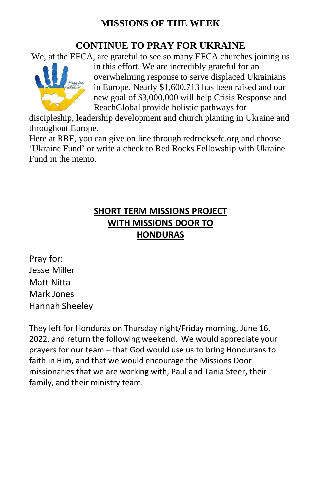## **MISSIONS OF THE WEEK**

## **CONTINUE TO PRAY FOR UKRAINE**

We, at the EFCA, are grateful to see so many EFCA churches joining us



in this effort. We are incredibly grateful for an overwhelming response to serve displaced Ukrainians in Europe. Nearly \$1,600,713 has been raised and our new goal of \$3,000,000 will help Crisis Response and ReachGlobal provide holistic pathways for

discipleship, leadership development and church planting in Ukraine and throughout Europe.

Here at RRF, you can give on line through redrocksefc.org and choose 'Ukraine Fund' or write a check to Red Rocks Fellowship with Ukraine Fund in the memo.

## **SHORT TERM MISSIONS PROJECT WITH MISSIONS DOOR TO HONDURAS**

Pray for: Jesse Miller Matt Nitta Mark Jones Hannah Sheeley

They left for Honduras on Thursday night/Friday morning, June 16, 2022, and return the following weekend. We would appreciate your prayers for our team – that God would use us to bring Hondurans to faith in Him, and that we would encourage the Missions Door missionaries that we are working with, Paul and Tania Steer, their family, and their ministry team.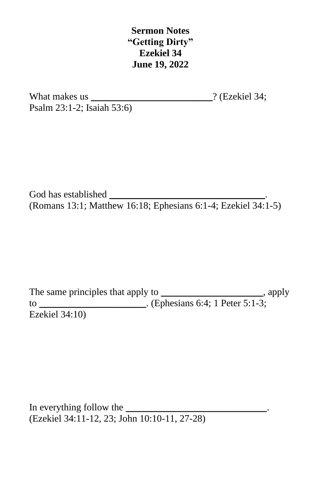**Sermon Notes "Getting Dirty" Ezekiel 34 June 19, 2022**

What makes us  $?$  (Ezekiel 34; Psalm 23:1-2; Isaiah 53:6)

God has established (Romans 13:1; Matthew 16:18; Ephesians 6:1-4; Ezekiel 34:1-5)

The same principles that apply to \_\_\_\_\_\_\_\_\_\_\_\_\_\_\_\_\_\_\_\_\_\_, apply to \_\_\_\_\_\_\_\_\_\_\_\_\_\_\_\_\_\_\_\_\_. (Ephesians 6:4; 1 Peter 5:1-3; Ezekiel 34:10)

In everything follow the (Ezekiel 34:11-12, 23; John 10:10-11, 27-28)